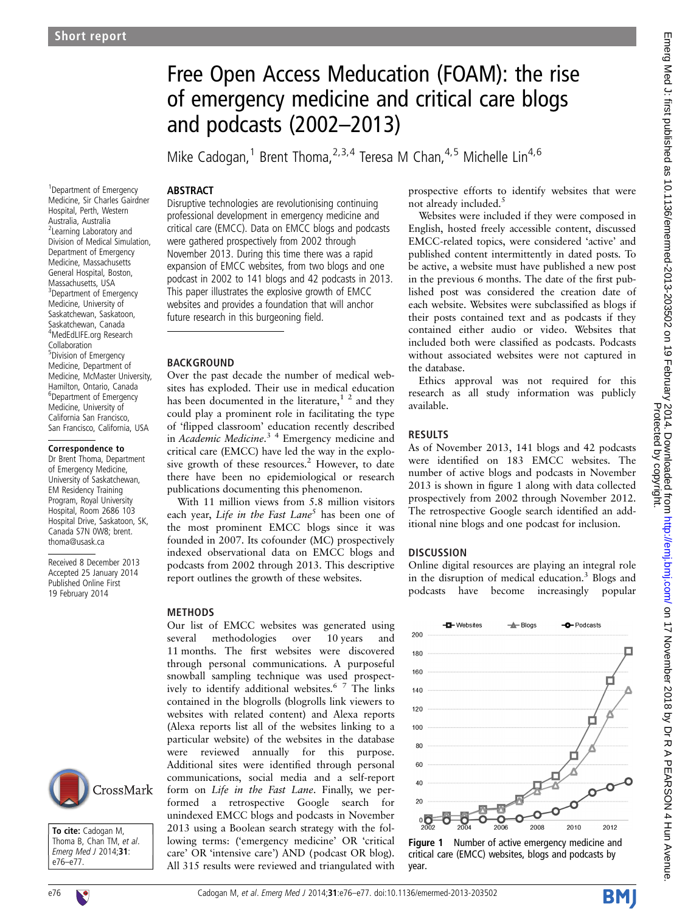# Free Open Access Meducation (FOAM): the rise of emergency medicine and critical care blogs and podcasts (2002–2013)

Mike Cadogan,<sup>1</sup> Brent Thoma,<sup>2,3,4</sup> Teresa M Chan,<sup>4,5</sup> Michelle Lin<sup>4,6</sup>

#### ABSTRACT

1 Department of Emergency Medicine, Sir Charles Gairdner Hospital, Perth, Western Australia, Australia <sup>2</sup> Learning Laboratory and Division of Medical Simulation, Department of Emergency Medicine, Massachusetts General Hospital, Boston, Massachusetts, USA <sup>3</sup> Department of Emergency Medicine, University of Saskatchewan, Saskatoon, Saskatchewan, Canada 4 MedEdLIFE.org Research Collaboration 5 Division of Emergency Medicine, Department of Medicine, McMaster University, Hamilton, Ontario, Canada 6 Department of Emergency Medicine, University of California San Francisco, San Francisco, California, USA

#### Correspondence to

Dr Brent Thoma, Department of Emergency Medicine, University of Saskatchewan, EM Residency Training Program, Royal University Hospital, Room 2686 103 Hospital Drive, Saskatoon, SK, Canada S7N 0W8; brent. thoma@usask.ca

Received 8 December 2013 Accepted 25 January 2014 Published Online First 19 February 2014



To cite: Cadogan M. Thoma B, Chan TM, et al. Emerg Med J 2014;31: e76–e77.

Disruptive technologies are revolutionising continuing professional development in emergency medicine and critical care (EMCC). Data on EMCC blogs and podcasts were gathered prospectively from 2002 through November 2013. During this time there was a rapid expansion of EMCC websites, from two blogs and one podcast in 2002 to 141 blogs and 42 podcasts in 2013. This paper illustrates the explosive growth of EMCC websites and provides a foundation that will anchor future research in this burgeoning field.

#### **BACKGROUND**

Over the past decade the number of medical websites has exploded. Their use in medical education has been documented in the literature,<sup>1</sup><sup>2</sup> and they could play a prominent role in facilitating the type of 'flipped classroom' education recently described in Academic Medicine.<sup>34</sup> Emergency medicine and critical care (EMCC) have led the way in the explosive growth of these resources.<sup>2</sup> However, to date there have been no epidemiological or research publications documenting this phenomenon.

With 11 million views from 5.8 million visitors each year, Life in the Fast Lane<sup>5</sup> has been one of the most prominent EMCC blogs since it was founded in 2007. Its cofounder (MC) prospectively indexed observational data on EMCC blogs and podcasts from 2002 through 2013. This descriptive report outlines the growth of these websites.

#### **METHODS**

Our list of EMCC websites was generated using several methodologies over 10 years and 11 months. The first websites were discovered through personal communications. A purposeful snowball sampling technique was used prospectively to identify additional websites.<sup>6</sup> <sup>7</sup> The links contained in the blogrolls (blogrolls link viewers to websites with related content) and Alexa reports (Alexa reports list all of the websites linking to a particular website) of the websites in the database were reviewed annually for this purpose. Additional sites were identified through personal communications, social media and a self-report form on Life in the Fast Lane. Finally, we performed a retrospective Google search for unindexed EMCC blogs and podcasts in November 2013 using a Boolean search strategy with the following terms: ('emergency medicine' OR 'critical care' OR 'intensive care') AND (podcast OR blog). All 315 results were reviewed and triangulated with

prospective efforts to identify websites that were not already included. $5$ 

Websites were included if they were composed in English, hosted freely accessible content, discussed EMCC-related topics, were considered 'active' and published content intermittently in dated posts. To be active, a website must have published a new post in the previous 6 months. The date of the first published post was considered the creation date of each website. Websites were subclassified as blogs if their posts contained text and as podcasts if they contained either audio or video. Websites that included both were classified as podcasts. Podcasts without associated websites were not captured in the database.

Ethics approval was not required for this research as all study information was publicly available.

#### RESULTS

As of November 2013, 141 blogs and 42 podcasts were identified on 183 EMCC websites. The number of active blogs and podcasts in November 2013 is shown in figure 1 along with data collected prospectively from 2002 through November 2012. The retrospective Google search identified an additional nine blogs and one podcast for inclusion.

### **DISCUSSION**

Online digital resources are playing an integral role in the disruption of medical education.<sup>3</sup> Blogs and podcasts have become increasingly popular



Figure 1 Number of active emergency medicine and critical care (EMCC) websites, blogs and podcasts by year.